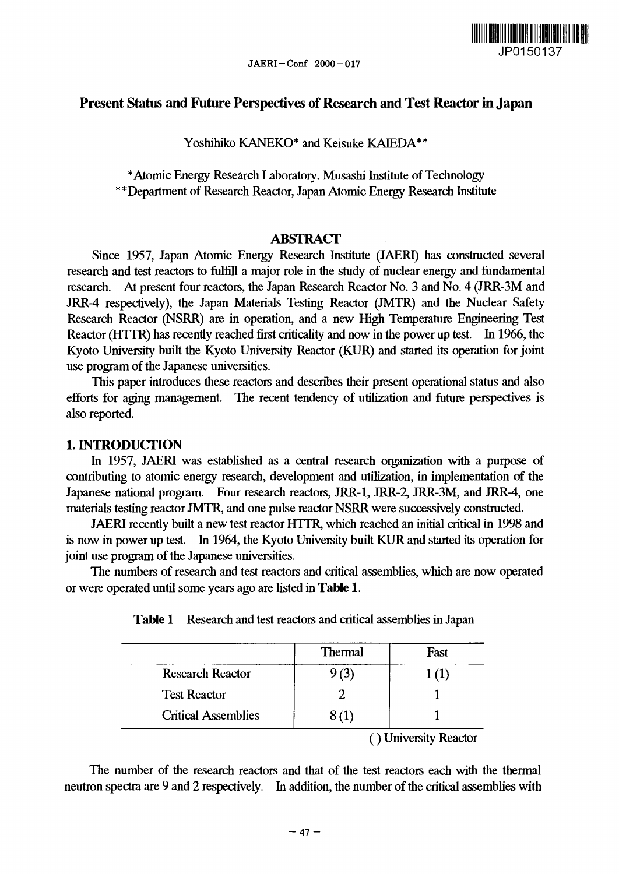

## Present Status and Future Perspectives of Research and Test Reactor in Japan

Yoshihiko KANEKO\* and Keisuke KAIEDA\*\*

\* Atomic Energy Research Laboratory, Musashi Institute of Technology \*\*Department of Research Reactor, Japan Atomic Energy Research Institute

### **ABSTRACT**

Since 1957, Japan Atomic Energy Research Institute (JAERI) has constructed several research and test reactors to fulfill a major role in the study of nuclear energy and fundamental research. At present four reactors, the Japan Research Reactor No. 3 and No. 4 (JRR-3M and JRR-4 respectively), the Japan Materials Testing Reactor (JMTR) and the Nuclear Safety Research Reactor (NSRR) are in operation, and a new High Temperature Engineering Test Reactor (HTTR) has recently reached first criticality and now in the power up test. In 1966, the Kyoto University built the Kyoto University Reactor (KUR) and started its operation for joint use program of the Japanese universities.

This paper introduces these reactors and describes their present operational status and also efforts for aging management. The recent tendency of utilization and future perspectives is also reported.

### **1. INTRODUCTION**

In 1957, JAERI was established as a central research organization with a purpose of contributing to atomic energy research, development and utilization, in implementation of the Japanese national program. Four research reactors, JRR-1, JRR-2, JRR-3M, and JRR-4, one materials testing reactor JMTR, and one pulse reactor NSRR were successively constructed.

JAERI recently built a new test reactor HTTR, which reached an initial critical in 1998 and is now in power up test. In 1964, the Kyoto University built KUR and started its operation for joint use program of the Japanese universities.

The numbers of research and test reactors and critical assemblies, which are now operated or were operated until some years ago are listed in **Table 1.**

|                            | Thermal                     | Fast                  |
|----------------------------|-----------------------------|-----------------------|
| <b>Research Reactor</b>    | (3)                         |                       |
| <b>Test Reactor</b>        |                             |                       |
| <b>Critical Assemblies</b> |                             |                       |
|                            | $\lambda$ , where $\lambda$ | $\bullet$ .<br>$\sim$ |

**Table 1** Research and test reactors and critical assemblies in Japan

( ) University Reactor

The number of the research reactors and that of the test reactors each with the thermal neutron spectra are 9 and 2 respectively. In addition, the number of the critical assemblies with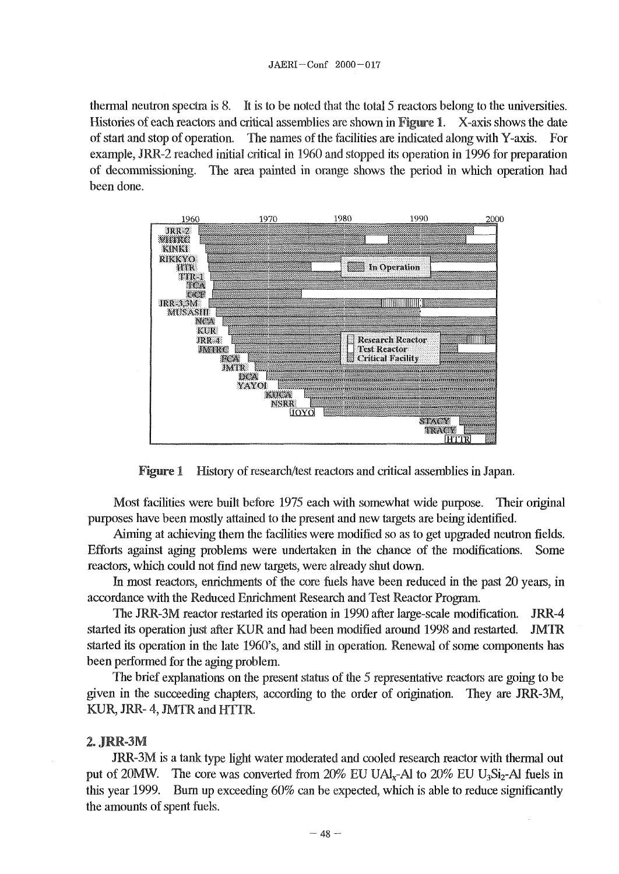thermal neutron spectra is 8. It is to be noted that the total 5 reactors belong to the universities. Histories of each reactors and critical assemblies are shown in **Figure** 1. X-axis shows the date of start and stop of operation. The names of the facilities are indicated along with Y-axis. For example, JRR-2 reached initial critical in 1960 and stopped its operation in 1996 for preparation of decommissioning. The area painted in orange shows the period in which operation had been done.



Figure 1 History of research/test reactors and critical assemblies in Japan.

Most facilities were built before 1975 each with somewhat wide purpose. Their original purposes have been mostly attained to the present and new targets are being identified.

Aiming at achieving them the facilities were modified so as to get upgraded neutron fields. Efforts against aging problems were undertaken in the chance of the modifications. Some reactors, which could not find new targets, were already shut down.

In most reactors, enrichments of the core fuels have been reduced in the past 20 years, in accordance with the Reduced Enrichment Research and Test Reactor Program.

The JRR-3M reactor restarted its operation in 1990 after large-scale modification. JRR-4 started its operation just after KUR and had been modified around 1998 and restarted. JMTR started its operation in the late 1960's, and still in operation. Renewal of some components has been performed for the aging problem.

The brief explanations on the present status of the 5 representative reactors are going to be given in the succeeding chapters, according to the order of origination. They are JRR-3M, KUR, JRR- 4, JMTR and HTTR.

#### *2.* JMR-3M

JRR-3M is a tank type light water moderated and cooled research reactor with thermal out put of 20MW. The core was converted from  $20\%$  EU UAl<sub>x</sub>-Al to  $20\%$  EU U<sub>3</sub>Si<sub>2</sub>-Al fuels in this year 1999. Bum up exceeding 60% can be expected, which is able to reduce significantly the amounts of spent fuels.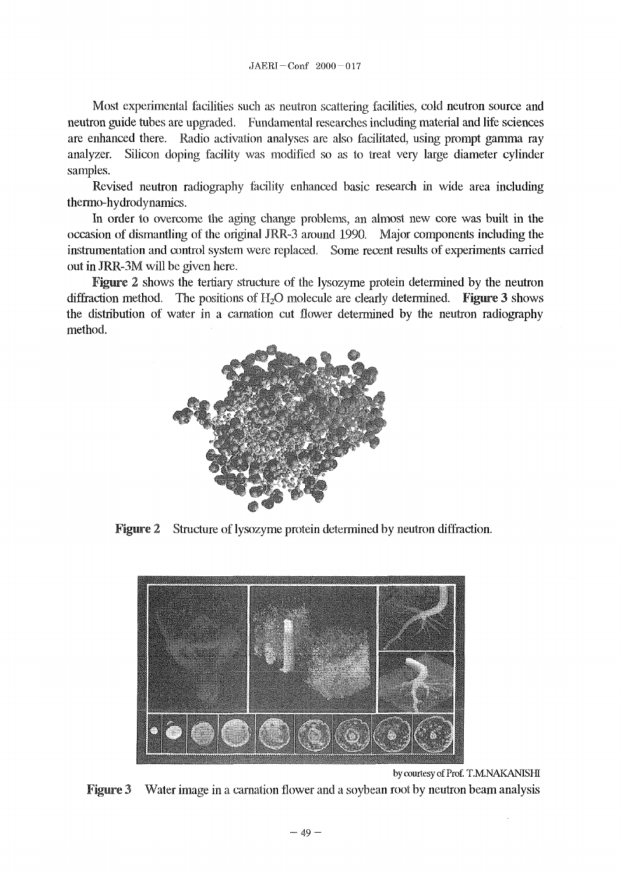Most experimental facilities such as neutron scattering facilities, cold neutron source and neutron guide tubes are upgraded. Fundamental researches including material and life sciences are enhanced there. Radio activation analyses are also facilitated, using prompt gamma ray analyzer. Silicon doping facility was modified so as to treat very large diameter cylinder samples.

Revised neutron radiography facility enhanced basic research in wide area including thermo-hydrodynamics.

In order to overcome the aging change problems, an almost new core was built in the occasion of dismantling of the original JRR-3 around 1990. Major components including the instrumentation and control system were replaced. Some recent results of experiments carried out in JRR-3M will be given here.

Figure 2 shows the tertiary structure of the lysozyme protein determined by the neutron diffraction method. The positions of  $H_2O$  molecule are clearly determined. Figure 3 shows the distribution of water in a carnation cut flower determined by the neutron radiography method.



Figure 2 Structure of lysozyme protein determined by neutron diffraction.



by courtesy of Prof. T.M.NAKANISHI

Figure 3 Water image in a carnation flower and a soybean root by neutron beam analysis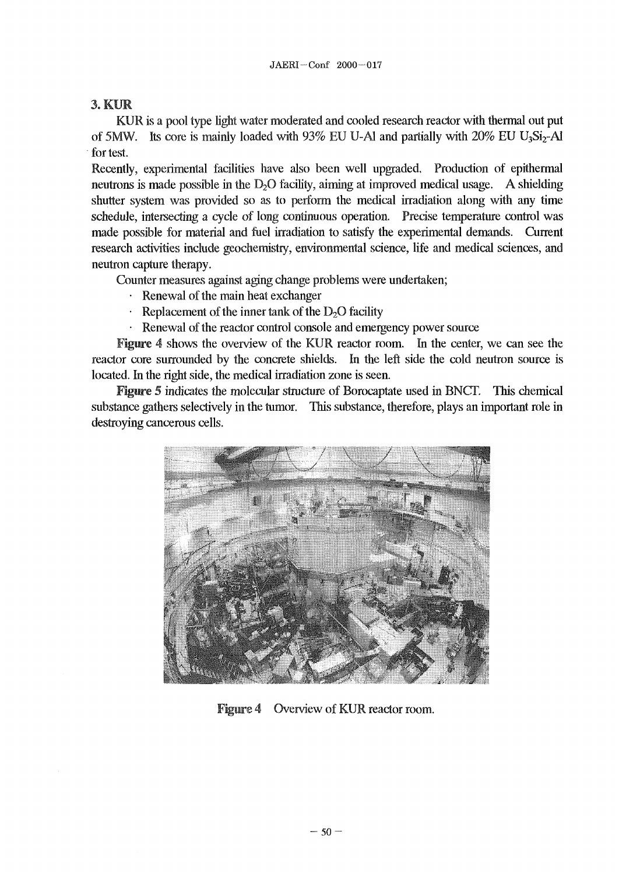# 3, KIM

KUR is a pool type light water moderated and cooled research reactor with thermal out put of 5MW. Its core is mainly loaded with  $93\%$  EU U-Al and partially with  $20\%$  EU U<sub>3</sub>Si<sub>2</sub>-Al for test.

Recently, experimental facilities have also been well upgraded. Production of epithermal neutrons is made possible in the  $D_2O$  facility, aiming at improved medical usage. A shielding shutter system was provided so as to perform the medical irradiation along with any time schedule, intersecting a cycle of long continuous operation. Precise temperature control was made possible for material and fuel irradiation to satisfy the experimental demands. Current research activities include geochemistry, environmental science, life and medical sciences, and neutron capture therapy.

Counter measures against aging change problems were undertaken;

- Renewal of the main heat exchanger
- Replacement of the inner tank of the  $D<sub>2</sub>O$  facility
- Renewal of the reactor control console and emergency power source

Figure 4 shows the overview of the KUR reactor room. In the center, we can see the reactor core surrounded by the concrete shields. In the left side the cold neutron source is located. In the right side, the medical irradiation zone is seen.

Figure 5 indicates the molecular structure of Borocaptate used in BNCT. This chemical substance gathers selectively in the tumor. This substance, therefore, plays an important role in destroying cancerous cells.



Figure 4 Overview of KUR reactor room.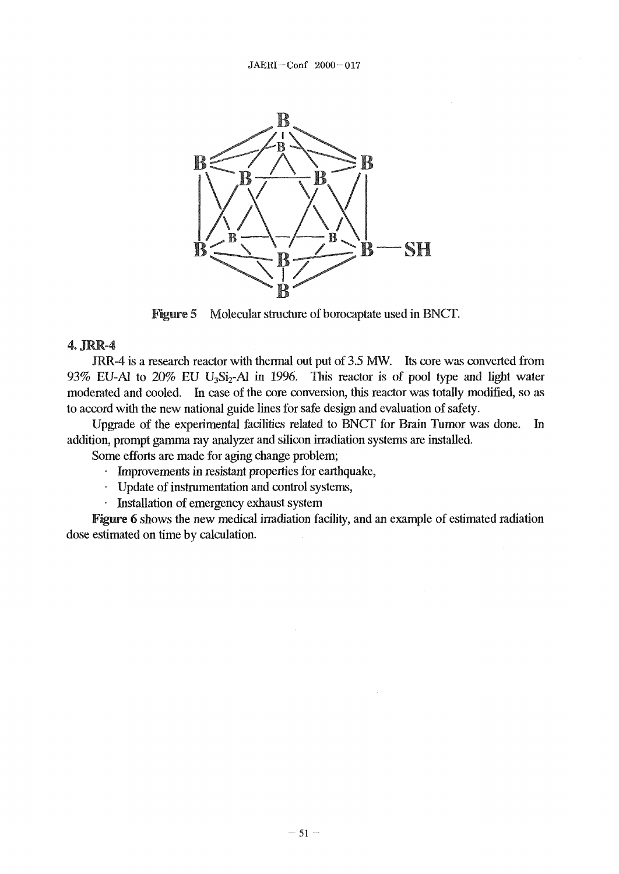

**Figure** 5 Molecular structure of borocaptate used in BNCT.

### 4.JMR-4

JRR-4 is a research reactor with thermal out put of 3.5 MW. Its core was converted from 93% EU-Al to  $20\%$  EU U<sub>3</sub>Si<sub>2</sub>-Al in 1996. This reactor is of pool type and light water moderated and cooled. In case of the core conversion, this reactor was totally modified, so as to accord with the new national guide lines for safe design and evaluation of safety.

Upgrade of the experimental facilities related to BNCT for Brain Tumor was done. In addition, prompt gamma ray analyzer and silicon irradiation systems are installed.

Some efforts are made for aging change problem;

- Improvements in resistant properties for earthquake,
- Update of instrumentation and control systems,
- Installation of emergency exhaust system

Figure 6 shows the new medical irradiation facility, and an example of estimated radiation dose estimated on time by calculation.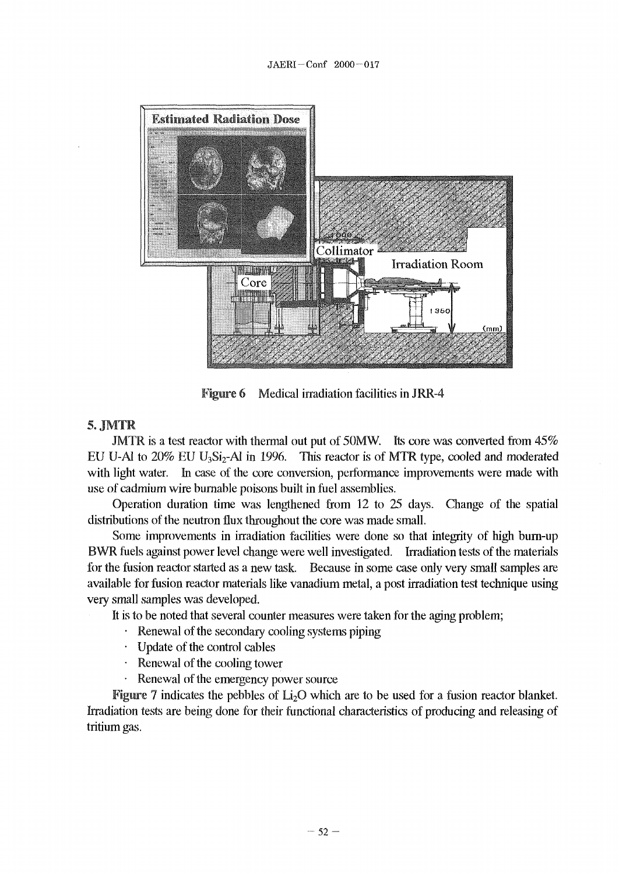

Figure 6 Medical irradiation facilities in JRR-4

### 5.JMTR

JMTR is a test reactor with thermal out put of 50MW. Its core was converted from 45% EU U-Al to  $20\%$  EU U<sub>3</sub>Si<sub>2</sub>-Al in 1996. This reactor is of MTR type, cooled and moderated with light water. In case of the core conversion, performance improvements were made with use of cadmium wire burnable poisons built in fuel assemblies.

Operation duration time was lengthened from 12 to 25 days. Change of the spatial distributions of the neutron flux throughout the core was made small.

Some improvements in irradiation facilities were done so that integrity of high burn-up BWR fuels against power level change were well investigated. Irradiation tests of the materials for the fusion reactor started as a new task. Because in some case only very small samples are available for fusion reactor materials like vanadium metal, a post irradiation test technique using very small samples was developed.

It is to be noted that several counter measures were taken for the aging problem;

- Renewal of the secondary cooling systems piping
- Update of the control cables
- Renewal of the cooling tower
- Renewal of the emergency power source

**Figure** 7 indicates the pebbles of  $Li<sub>2</sub>O$  which are to be used for a fusion reactor blanket. Irradiation tests are being done for their functional characteristics of producing and releasing of tritium gas.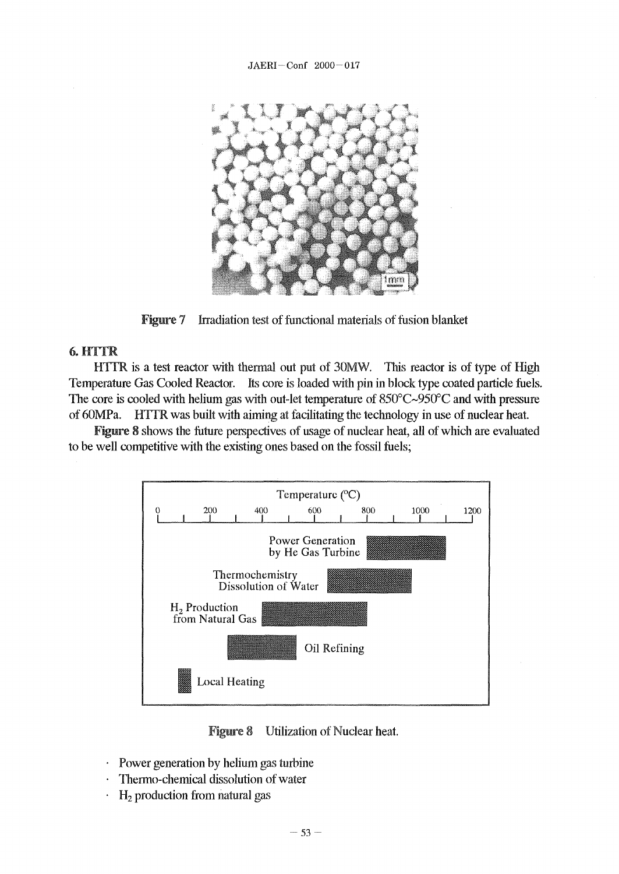

Figure 7 Irradiation test of functional materials of fusion blanket

### 6.HTTR

HTTR is a test reactor with thermal out put of 30MW. This reactor is of type of High Temperature Gas Cooled Reactor. Its core is loaded with pin in block type coated particle fuels. The core is cooled with helium gas with out-let temperature of 850°C~950°C and with pressure of 60MPa. H1TR was built with aiming at facilitating the technology in use of nuclear heat.

Figure 8 shows the future perspectives of usage of nuclear heat, all of which are evaluated to be well competitive with the existing ones based on the fossil fuels;



Figure 8 Utilization of Nuclear heat.

- Power generation by helium gas turbine
- Thermo-chemical dissolution of water
- $H<sub>2</sub>$  production from natural gas